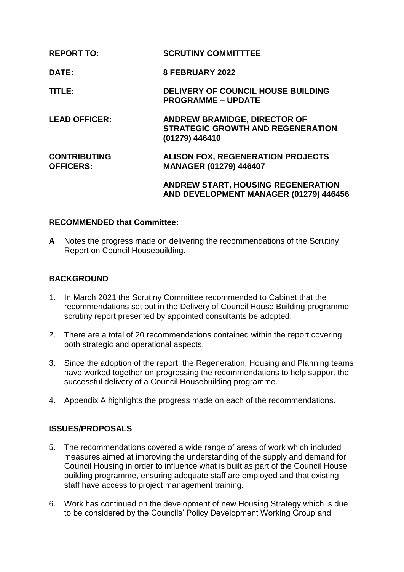| <b>REPORT TO:</b>                       | <b>SCRUTINY COMMITTTEE</b>                                                                 |
|-----------------------------------------|--------------------------------------------------------------------------------------------|
| DATE:                                   | 8 FEBRUARY 2022                                                                            |
| TITLE:                                  | <b>DELIVERY OF COUNCIL HOUSE BUILDING</b><br><b>PROGRAMME - UPDATE</b>                     |
| <b>LEAD OFFICER:</b>                    | ANDREW BRAMIDGE, DIRECTOR OF<br><b>STRATEGIC GROWTH AND REGENERATION</b><br>(01279) 446410 |
| <b>CONTRIBUTING</b><br><b>OFFICERS:</b> | <b>ALISON FOX, REGENERATION PROJECTS</b><br>MANAGER (01279) 446407                         |
|                                         | <b>ANDREW START, HOUSING REGENERATION</b><br>AND DEVELOPMENT MANAGER (01279) 446456        |

## **RECOMMENDED that Committee:**

**A** Notes the progress made on delivering the recommendations of the Scrutiny Report on Council Housebuilding.

#### **BACKGROUND**

- 1. In March 2021 the Scrutiny Committee recommended to Cabinet that the recommendations set out in the Delivery of Council House Building programme scrutiny report presented by appointed consultants be adopted.
- 2. There are a total of 20 recommendations contained within the report covering both strategic and operational aspects.
- 3. Since the adoption of the report, the Regeneration, Housing and Planning teams have worked together on progressing the recommendations to help support the successful delivery of a Council Housebuilding programme.
- 4. Appendix A highlights the progress made on each of the recommendations.

## **ISSUES/PROPOSALS**

- 5. The recommendations covered a wide range of areas of work which included measures aimed at improving the understanding of the supply and demand for Council Housing in order to influence what is built as part of the Council House building programme, ensuring adequate staff are employed and that existing staff have access to project management training.
- 6. Work has continued on the development of new Housing Strategy which is due to be considered by the Councils' Policy Development Working Group and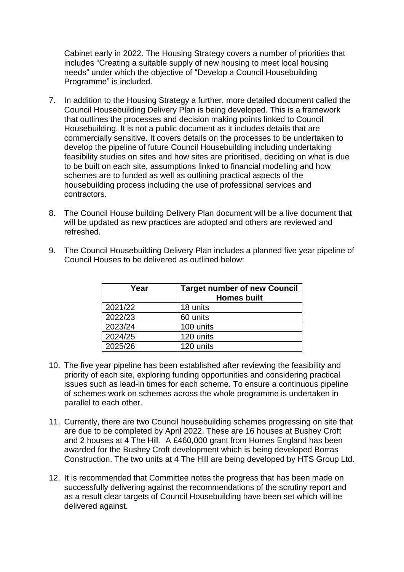Cabinet early in 2022. The Housing Strategy covers a number of priorities that includes "Creating a suitable supply of new housing to meet local housing needs" under which the objective of "Develop a Council Housebuilding Programme" is included.

- 7. In addition to the Housing Strategy a further, more detailed document called the Council Housebuilding Delivery Plan is being developed. This is a framework that outlines the processes and decision making points linked to Council Housebuilding. It is not a public document as it includes details that are commercially sensitive. It covers details on the processes to be undertaken to develop the pipeline of future Council Housebuilding including undertaking feasibility studies on sites and how sites are prioritised, deciding on what is due to be built on each site, assumptions linked to financial modelling and how schemes are to funded as well as outlining practical aspects of the housebuilding process including the use of professional services and contractors.
- 8. The Council House building Delivery Plan document will be a live document that will be updated as new practices are adopted and others are reviewed and refreshed.

| Year    | <b>Target number of new Council</b><br><b>Homes built</b> |
|---------|-----------------------------------------------------------|
| 2021/22 | 18 units                                                  |
| 2022/23 | 60 units                                                  |
| 2023/24 | 100 units                                                 |
| 2024/25 | 120 units                                                 |
| 2025/26 | 120 units                                                 |

9. The Council Housebuilding Delivery Plan includes a planned five year pipeline of Council Houses to be delivered as outlined below:

- 10. The five year pipeline has been established after reviewing the feasibility and priority of each site, exploring funding opportunities and considering practical issues such as lead-in times for each scheme. To ensure a continuous pipeline of schemes work on schemes across the whole programme is undertaken in parallel to each other.
- 11. Currently, there are two Council housebuilding schemes progressing on site that are due to be completed by April 2022. These are 16 houses at Bushey Croft and 2 houses at 4 The Hill. A £460,000 grant from Homes England has been awarded for the Bushey Croft development which is being developed Borras Construction. The two units at 4 The Hill are being developed by HTS Group Ltd.
- 12. It is recommended that Committee notes the progress that has been made on successfully delivering against the recommendations of the scrutiny report and as a result clear targets of Council Housebuilding have been set which will be delivered against.